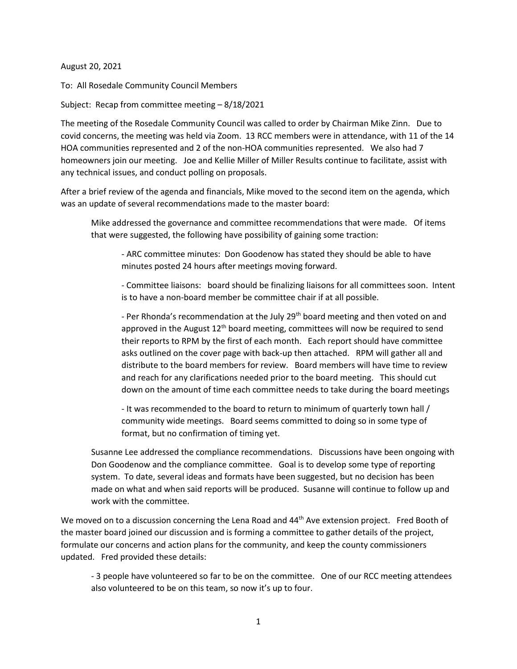August 20, 2021

To: All Rosedale Community Council Members

Subject: Recap from committee meeting – 8/18/2021

The meeting of the Rosedale Community Council was called to order by Chairman Mike Zinn. Due to covid concerns, the meeting was held via Zoom. 13 RCC members were in attendance, with 11 of the 14 HOA communities represented and 2 of the non-HOA communities represented. We also had 7 homeowners join our meeting. Joe and Kellie Miller of Miller Results continue to facilitate, assist with any technical issues, and conduct polling on proposals.

After a brief review of the agenda and financials, Mike moved to the second item on the agenda, which was an update of several recommendations made to the master board:

Mike addressed the governance and committee recommendations that were made. Of items that were suggested, the following have possibility of gaining some traction:

- ARC committee minutes: Don Goodenow has stated they should be able to have minutes posted 24 hours after meetings moving forward.

- Committee liaisons: board should be finalizing liaisons for all committees soon. Intent is to have a non-board member be committee chair if at all possible.

- Per Rhonda's recommendation at the July 29<sup>th</sup> board meeting and then voted on and approved in the August 12<sup>th</sup> board meeting, committees will now be required to send their reports to RPM by the first of each month. Each report should have committee asks outlined on the cover page with back-up then attached. RPM will gather all and distribute to the board members for review. Board members will have time to review and reach for any clarifications needed prior to the board meeting. This should cut down on the amount of time each committee needs to take during the board meetings

- It was recommended to the board to return to minimum of quarterly town hall / community wide meetings. Board seems committed to doing so in some type of format, but no confirmation of timing yet.

Susanne Lee addressed the compliance recommendations. Discussions have been ongoing with Don Goodenow and the compliance committee. Goal is to develop some type of reporting system. To date, several ideas and formats have been suggested, but no decision has been made on what and when said reports will be produced. Susanne will continue to follow up and work with the committee.

We moved on to a discussion concerning the Lena Road and 44<sup>th</sup> Ave extension project. Fred Booth of the master board joined our discussion and is forming a committee to gather details of the project, formulate our concerns and action plans for the community, and keep the county commissioners updated. Fred provided these details:

- 3 people have volunteered so far to be on the committee. One of our RCC meeting attendees also volunteered to be on this team, so now it's up to four.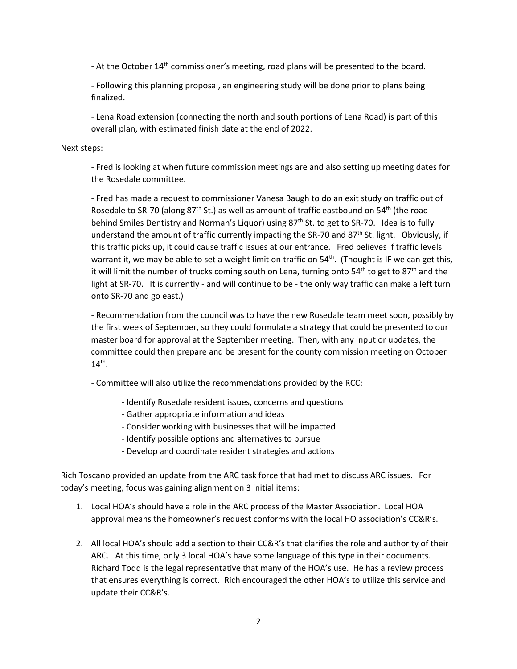- At the October 14<sup>th</sup> commissioner's meeting, road plans will be presented to the board.

- Following this planning proposal, an engineering study will be done prior to plans being finalized.

- Lena Road extension (connecting the north and south portions of Lena Road) is part of this overall plan, with estimated finish date at the end of 2022.

## Next steps:

- Fred is looking at when future commission meetings are and also setting up meeting dates for the Rosedale committee.

- Fred has made a request to commissioner Vanesa Baugh to do an exit study on traffic out of Rosedale to SR-70 (along 87<sup>th</sup> St.) as well as amount of traffic eastbound on 54<sup>th</sup> (the road behind Smiles Dentistry and Norman's Liquor) using 87<sup>th</sup> St. to get to SR-70. Idea is to fully understand the amount of traffic currently impacting the SR-70 and 87<sup>th</sup> St. light. Obviously, if this traffic picks up, it could cause traffic issues at our entrance. Fred believes if traffic levels warrant it, we may be able to set a weight limit on traffic on  $54<sup>th</sup>$ . (Thought is IF we can get this, it will limit the number of trucks coming south on Lena, turning onto 54<sup>th</sup> to get to 87<sup>th</sup> and the light at SR-70. It is currently - and will continue to be - the only way traffic can make a left turn onto SR-70 and go east.)

- Recommendation from the council was to have the new Rosedale team meet soon, possibly by the first week of September, so they could formulate a strategy that could be presented to our master board for approval at the September meeting. Then, with any input or updates, the committee could then prepare and be present for the county commission meeting on October  $14^{th}$ .

- Committee will also utilize the recommendations provided by the RCC:

- Identify Rosedale resident issues, concerns and questions
- Gather appropriate information and ideas
- Consider working with businesses that will be impacted
- Identify possible options and alternatives to pursue
- Develop and coordinate resident strategies and actions

Rich Toscano provided an update from the ARC task force that had met to discuss ARC issues. For today's meeting, focus was gaining alignment on 3 initial items:

- 1. Local HOA's should have a role in the ARC process of the Master Association. Local HOA approval means the homeowner's request conforms with the local HO association's CC&R's.
- 2. All local HOA's should add a section to their CC&R's that clarifies the role and authority of their ARC. At this time, only 3 local HOA's have some language of this type in their documents. Richard Todd is the legal representative that many of the HOA's use. He has a review process that ensures everything is correct. Rich encouraged the other HOA's to utilize this service and update their CC&R's.